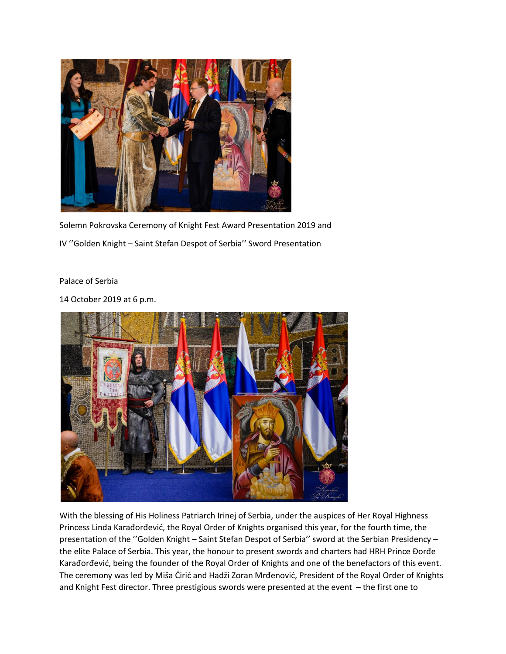

Solemn Pokrovska Ceremony of Knight Fest Award Presentation 2019 and IV ''Golden Knight – Saint Stefan Despot of Serbia'' Sword Presentation

Palace of Serbia

14 October 2019 at 6 p.m.



With the blessing of His Holiness Patriarch Irinej of Serbia, under the auspices of Her Royal Highness Princess Linda Karađorđević, the Royal Order of Knights organised this year, for the fourth time, the presentation of the ''Golden Knight – Saint Stefan Despot of Serbia'' sword at the Serbian Presidency – the elite Palace of Serbia. This year, the honour to present swords and charters had HRH Prince Đorđe Karađorđević, being the founder of the Royal Order of Knights and one of the benefactors of this event. The ceremony was led by Miša Ćirić and Hadži Zoran Mrđenović, President of the Royal Order of Knights and Knight Fest director. Three prestigious swords were presented at the event – the first one to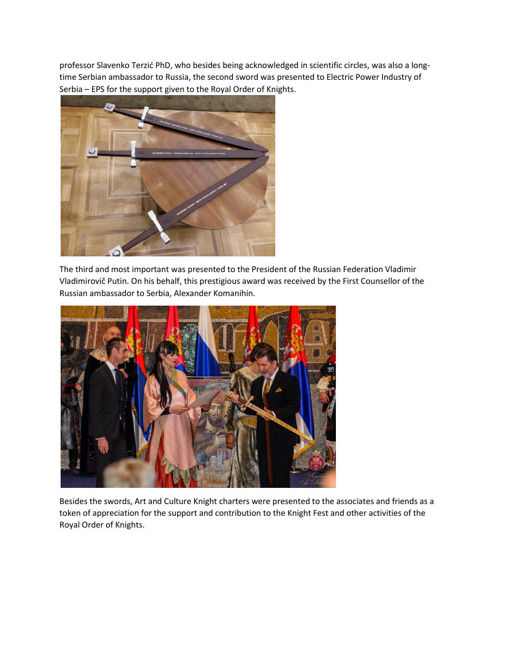professor Slavenko Terzić PhD, who besides being acknowledged in scientific circles, was also a longtime Serbian ambassador to Russia, the second sword was presented to Electric Power Industry of Serbia – EPS for the support given to the Royal Order of Knights.



The third and most important was presented to the President of the Russian Federation Vladimir Vladimirovič Putin. On his behalf, this prestigious award was received by the First Counsellor of the Russian ambassador to Serbia, Alexander Komanihin.



Besides the swords, Art and Culture Knight charters were presented to the associates and friends as a token of appreciation for the support and contribution to the Knight Fest and other activities of the Royal Order of Knights.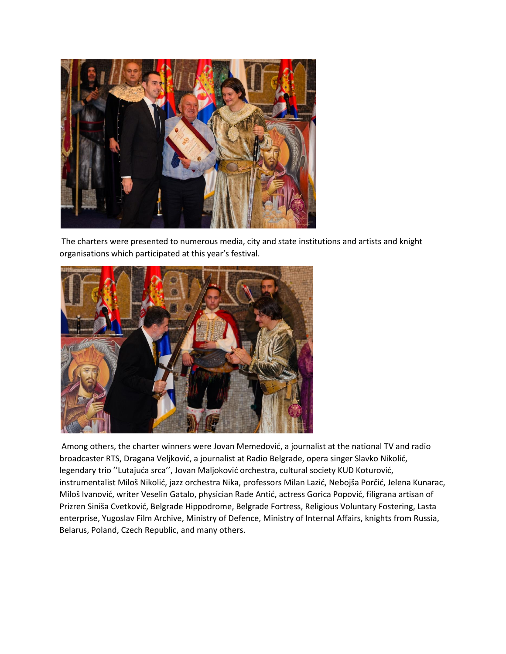

The charters were presented to numerous media, city and state institutions and artists and knight organisations which participated at this year's festival.



Among others, the charter winners were Jovan Memedović, a journalist at the national TV and radio broadcaster RTS, Dragana Veljković, a journalist at Radio Belgrade, opera singer Slavko Nikolić, legendary trio ''Lutajuća srca'', Jovan Maljoković orchestra, cultural society KUD Koturović, instrumentalist Miloš Nikolić, jazz orchestra Nika, professors Milan Lazić, Nebojša Porčić, Jelena Kunarac, Miloš Ivanović, writer Veselin Gatalo, physician Rade Antić, actress Gorica Popović, filigrana artisan of Prizren Siniša Cvetković, Belgrade Hippodrome, Belgrade Fortress, Religious Voluntary Fostering, Lasta enterprise, Yugoslav Film Archive, Ministry of Defence, Ministry of Internal Affairs, knights from Russia, Belarus, Poland, Czech Republic, and many others.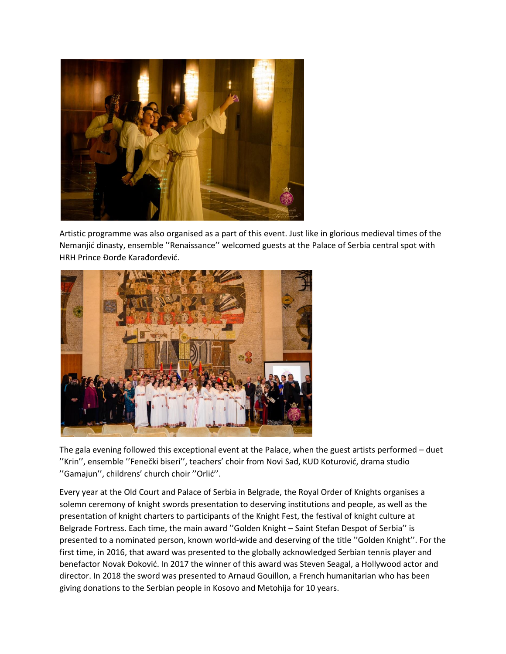

Artistic programme was also organised as a part of this event. Just like in glorious medieval times of the Nemanjić dinasty, ensemble ''Renaissance'' welcomed guests at the Palace of Serbia central spot with HRH Prince Đorđe Karađorđević.



The gala evening followed this exceptional event at the Palace, when the guest artists performed – duet ''Krin'', ensemble ''Fenečki biseri'', teachers' choir from Novi Sad, KUD Koturović, drama studio ''Gamajun'', childrens' church choir ''Orlić''.

Every year at the Old Court and Palace of Serbia in Belgrade, the Royal Order of Knights organises a solemn ceremony of knight swords presentation to deserving institutions and people, as well as the presentation of knight charters to participants of the Knight Fest, the festival of knight culture at Belgrade Fortress. Each time, the main award ''Golden Knight – Saint Stefan Despot of Serbia'' is presented to a nominated person, known world-wide and deserving of the title ''Golden Knight''. For the first time, in 2016, that award was presented to the globally acknowledged Serbian tennis player and benefactor Novak Đoković. In 2017 the winner of this award was Steven Seagal, a Hollywood actor and director. In 2018 the sword was presented to Arnaud Gouillon, a French humanitarian who has been giving donations to the Serbian people in Kosovo and Metohija for 10 years.